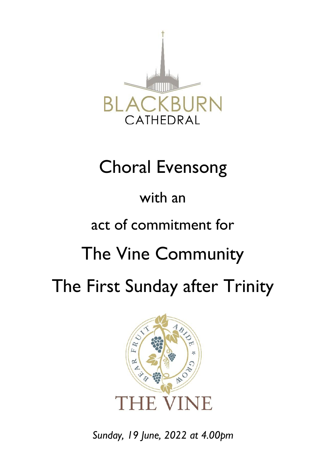

# Choral Evensong

## with an

## act of commitment for

## The Vine Community

# The First Sunday after Trinity



*Sunday, 19 June, 2022 at 4.00pm*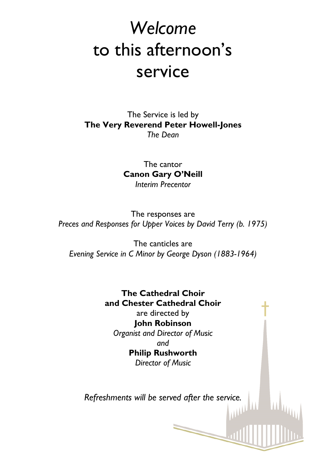## *Welcome* to this afternoon's service

The Service is led by **The Very Reverend Peter Howell-Jones** *The Dean*

> The cantor **Canon Gary O'Neill** *Interim Precentor*

The responses are *Preces and Responses for Upper Voices by David Terry (b. 1975)*

The canticles are *Evening Service in C Minor by George Dyson (1883-1964)*

> **The Cathedral Choir and Chester Cathedral Choir** are directed by **John Robinson** *Organist and Director of Music and* **Philip Rushworth** *Director of Music*

*Refreshments will be served after the service.*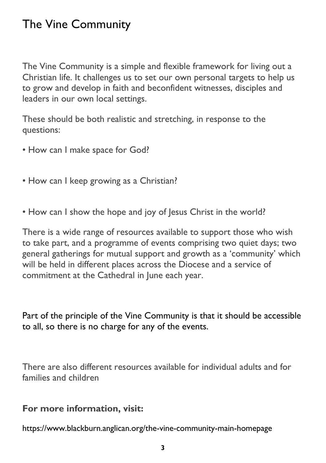## The Vine Community

The Vine Community is a simple and flexible framework for living out a Christian life. It challenges us to set our own personal targets to help us to grow and develop in faith and beconfident witnesses, disciples and leaders in our own local settings.

These should be both realistic and stretching, in response to the questions:

- How can I make space for God?
- How can I keep growing as a Christian?
- How can I show the hope and joy of Jesus Christ in the world?

There is a wide range of resources available to support those who wish to take part, and a programme of events comprising two quiet days; two general gatherings for mutual support and growth as a 'community' which will be held in different places across the Diocese and a service of commitment at the Cathedral in June each year.

Part of the principle of the Vine Community is that it should be accessible to all, so there is no charge for any of the events.

There are also different resources available for individual adults and for families and children

#### **For more information, visit:**

<https://www.blackburn.anglican.org/the-vine-community-main-homepage>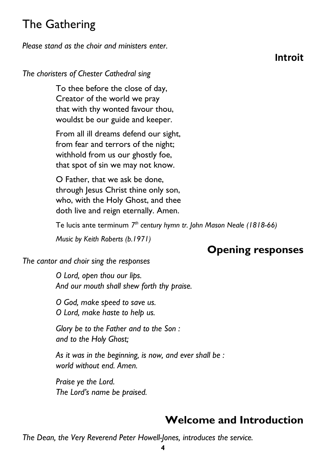## The Gathering

*Please stand as the choir and ministers enter.*

*The choristers of Chester Cathedral sing*

To thee before the close of day, Creator of the world we pray that with thy wonted favour thou, wouldst be our guide and keeper.

From all ill dreams defend our sight, from fear and terrors of the night; withhold from us our ghostly foe, that spot of sin we may not know.

O Father, that we ask be done, through Jesus Christ thine only son, who, with the Holy Ghost, and thee doth live and reign eternally. Amen.

Te lucis ante terminum *7 th century hymn tr. John Mason Neale (1818-66)*

*Music by Keith Roberts (b.1971)*

### **Opening responses**

*The cantor and choir sing the responses*

*O Lord, open thou our lips. And our mouth shall shew forth thy praise.*

*O God, make speed to save us. O Lord, make haste to help us.*

*Glory be to the Father and to the Son : and to the Holy Ghost;*

*As it was in the beginning, is now, and ever shall be : world without end. Amen.*

*Praise ye the Lord. The Lord's name be praised.*

### **Welcome and Introduction**

*The Dean, the Very Reverend Peter Howell-Jones, introduces the service.*

**Introit**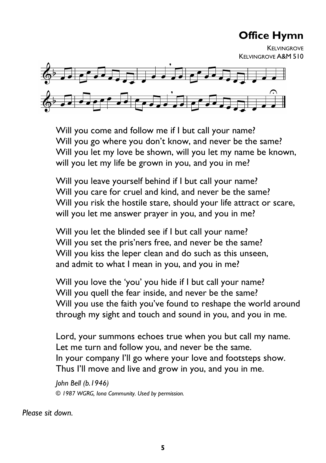## **Office Hymn**

**KELVINGROVE** KELVINGROVE A&M 510



Will you come and follow me if I but call your name? Will you go where you don't know, and never be the same? Will you let my love be shown, will you let my name be known, will you let my life be grown in you, and you in me?

Will you leave yourself behind if I but call your name? Will you care for cruel and kind, and never be the same? Will you risk the hostile stare, should your life attract or scare, will you let me answer prayer in you, and you in me?

Will you let the blinded see if I but call your name? Will you set the pris'ners free, and never be the same? Will you kiss the leper clean and do such as this unseen, and admit to what I mean in you, and you in me?

Will you love the 'you' you hide if I but call your name? Will you quell the fear inside, and never be the same? Will you use the faith you've found to reshape the world around through my sight and touch and sound in you, and you in me.

Lord, your summons echoes true when you but call my name. Let me turn and follow you, and never be the same. In your company I'll go where your love and footsteps show. Thus I'll move and live and grow in you, and you in me.

*John Bell (b.1946) © 1987 WGRG, Iona Community. Used by permission.*

*Please sit down.*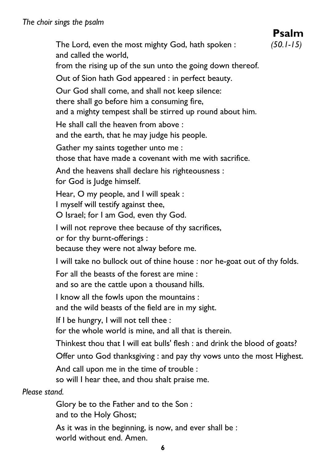**Psalm** The Lord, even the most mighty God, hath spoken : *(50.1-15)* and called the world, from the rising up of the sun unto the going down thereof. Out of Sion hath God appeared : in perfect beauty. Our God shall come, and shall not keep silence: there shall go before him a consuming fire, and a mighty tempest shall be stirred up round about him. He shall call the heaven from above : and the earth, that he may judge his people. Gather my saints together unto me : those that have made a covenant with me with sacrifice. And the heavens shall declare his righteousness : for God is Judge himself. Hear, O my people, and I will speak : I myself will testify against thee, O Israel; for I am God, even thy God. I will not reprove thee because of thy sacrifices, or for thy burnt-offerings : because they were not alway before me. I will take no bullock out of thine house : nor he-goat out of thy folds. For all the beasts of the forest are mine : and so are the cattle upon a thousand hills. I know all the fowls upon the mountains : and the wild beasts of the field are in my sight. If I be hungry, I will not tell thee : for the whole world is mine, and all that is therein. Thinkest thou that I will eat bulls' flesh : and drink the blood of goats? Offer unto God thanksgiving : and pay thy vows unto the most Highest. And call upon me in the time of trouble : so will I hear thee, and thou shalt praise me. *Please stand.*

> Glory be to the Father and to the Son : and to the Holy Ghost;

As it was in the beginning, is now, and ever shall be : world without end. Amen.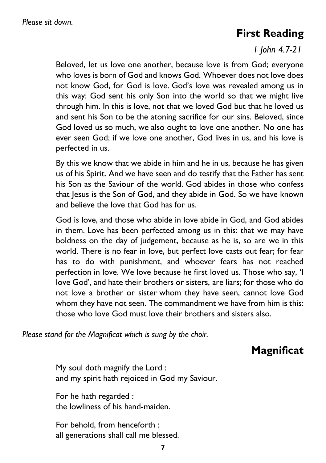## **First Reading**

*1 John 4.7-21* 

Beloved, let us love one another, because love is from God; everyone who loves is born of God and knows God. Whoever does not love does not know God, for God is love. God's love was revealed among us in this way: God sent his only Son into the world so that we might live through him. In this is love, not that we loved God but that he loved us and sent his Son to be the atoning sacrifice for our sins. Beloved, since God loved us so much, we also ought to love one another. No one has ever seen God; if we love one another, God lives in us, and his love is perfected in us.

By this we know that we abide in him and he in us, because he has given us of his Spirit. And we have seen and do testify that the Father has sent his Son as the Saviour of the world. God abides in those who confess that Jesus is the Son of God, and they abide in God. So we have known and believe the love that God has for us.

God is love, and those who abide in love abide in God, and God abides in them. Love has been perfected among us in this: that we may have boldness on the day of judgement, because as he is, so are we in this world. There is no fear in love, but perfect love casts out fear; for fear has to do with punishment, and whoever fears has not reached perfection in love. We love because he first loved us. Those who say, 'I love God', and hate their brothers or sisters, are liars; for those who do not love a brother or sister whom they have seen, cannot love God whom they have not seen. The commandment we have from him is this: those who love God must love their brothers and sisters also.

*Please stand for the Magnificat which is sung by the choir.*

**Magnificat**

My soul doth magnify the Lord : and my spirit hath rejoiced in God my Saviour.

For he hath regarded : the lowliness of his hand-maiden.

For behold, from henceforth : all generations shall call me blessed.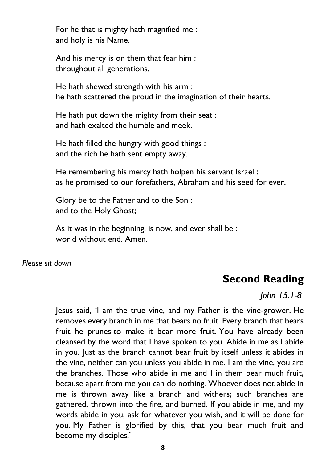For he that is mighty hath magnified me : and holy is his Name.

And his mercy is on them that fear him : throughout all generations.

He hath shewed strength with his arm : he hath scattered the proud in the imagination of their hearts.

He hath put down the mighty from their seat : and hath exalted the humble and meek.

He hath filled the hungry with good things : and the rich he hath sent empty away.

He remembering his mercy hath holpen his servant Israel : as he promised to our forefathers, Abraham and his seed for ever.

Glory be to the Father and to the Son : and to the Holy Ghost;

As it was in the beginning, is now, and ever shall be : world without end. Amen.

*Please sit down*

#### **Second Reading**

*John 15.1-8*

Jesus said, 'I am the true vine, and my Father is the vine-grower. He removes every branch in me that bears no fruit. Every branch that bears fruit he prunes to make it bear more fruit. You have already been cleansed by the word that I have spoken to you. Abide in me as I abide in you. Just as the branch cannot bear fruit by itself unless it abides in the vine, neither can you unless you abide in me. I am the vine, you are the branches. Those who abide in me and I in them bear much fruit, because apart from me you can do nothing. Whoever does not abide in me is thrown away like a branch and withers; such branches are gathered, thrown into the fire, and burned. If you abide in me, and my words abide in you, ask for whatever you wish, and it will be done for you. My Father is glorified by this, that you bear much fruit and become my disciples.'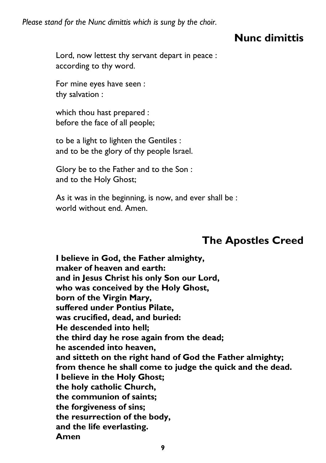*Please stand for the Nunc dimittis which is sung by the choir.*

#### **Nunc dimittis**

Lord, now lettest thy servant depart in peace : according to thy word.

For mine eyes have seen : thy salvation :

which thou hast prepared : before the face of all people;

to be a light to lighten the Gentiles : and to be the glory of thy people Israel.

Glory be to the Father and to the Son : and to the Holy Ghost;

As it was in the beginning, is now, and ever shall be : world without end. Amen.

### **The Apostles Creed**

**I believe in God, the Father almighty, maker of heaven and earth: and in Jesus Christ his only Son our Lord, who was conceived by the Holy Ghost, born of the Virgin Mary, suffered under Pontius Pilate, was crucified, dead, and buried: He descended into hell; the third day he rose again from the dead; he ascended into heaven, and sitteth on the right hand of God the Father almighty; from thence he shall come to judge the quick and the dead. I believe in the Holy Ghost; the holy catholic Church, the communion of saints; the forgiveness of sins; the resurrection of the body, and the life everlasting. Amen**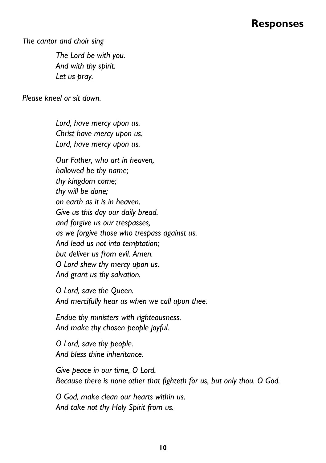#### **Responses**

*The cantor and choir sing* 

*The Lord be with you. And with thy spirit. Let us pray.*

*Please kneel or sit down.*

*Lord, have mercy upon us. Christ have mercy upon us. Lord, have mercy upon us.* 

*Our Father, who art in heaven, hallowed be thy name; thy kingdom come; thy will be done; on earth as it is in heaven. Give us this day our daily bread. and forgive us our trespasses, as we forgive those who trespass against us. And lead us not into temptation; but deliver us from evil. Amen. O Lord shew thy mercy upon us. And grant us thy salvation.*

*O Lord, save the Queen. And mercifully hear us when we call upon thee.*

*Endue thy ministers with righteousness. And make thy chosen people joyful.*

*O Lord, save thy people. And bless thine inheritance.*

*Give peace in our time, O Lord. Because there is none other that fighteth for us, but only thou. O God.*

*O God, make clean our hearts within us. And take not thy Holy Spirit from us.*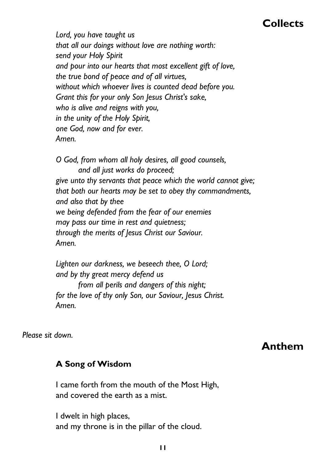### **Collects**

*Lord, you have taught us that all our doings without love are nothing worth: send your Holy Spirit and pour into our hearts that most excellent gift of love, the true bond of peace and of all virtues, without which whoever lives is counted dead before you. Grant this for your only Son Jesus Christ's sake, who is alive and reigns with you, in the unity of the Holy Spirit, one God, now and for ever. Amen.*

*O God, from whom all holy desires, all good counsels, and all just works do proceed; give unto thy servants that peace which the world cannot give; that both our hearts may be set to obey thy commandments, and also that by thee we being defended from the fear of our enemies may pass our time in rest and quietness; through the merits of Jesus Christ our Saviour. Amen.*

*Lighten our darkness, we beseech thee, O Lord; and by thy great mercy defend us from all perils and dangers of this night; for the love of thy only Son, our Saviour, Jesus Christ. Amen.*

*Please sit down.*

#### **Anthem**

#### **A Song of Wisdom**

I came forth from the mouth of the Most High, and covered the earth as a mist.

I dwelt in high places, and my throne is in the pillar of the cloud.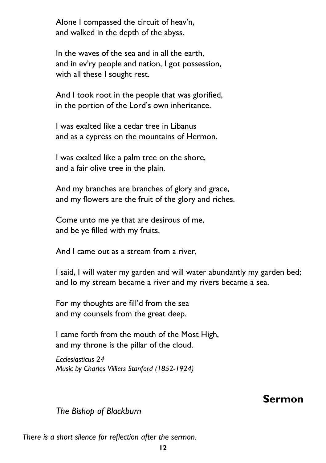Alone I compassed the circuit of heav'n, and walked in the depth of the abyss.

In the waves of the sea and in all the earth, and in ev'ry people and nation, I got possession, with all these I sought rest.

And I took root in the people that was glorified, in the portion of the Lord's own inheritance.

I was exalted like a cedar tree in Libanus and as a cypress on the mountains of Hermon.

I was exalted like a palm tree on the shore, and a fair olive tree in the plain.

And my branches are branches of glory and grace, and my flowers are the fruit of the glory and riches.

Come unto me ye that are desirous of me, and be ye filled with my fruits.

And I came out as a stream from a river,

I said, I will water my garden and will water abundantly my garden bed; and lo my stream became a river and my rivers became a sea.

For my thoughts are fill'd from the sea and my counsels from the great deep.

I came forth from the mouth of the Most High, and my throne is the pillar of the cloud.

*Ecclesiasticus 24 Music by Charles Villiers Stanford (1852-1924)*

#### **Sermon**

*The Bishop of Blackburn*

*There is a short silence for reflection after the sermon.*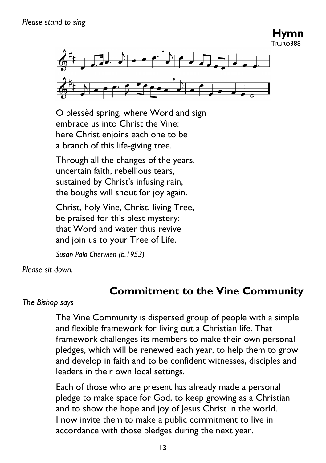#### *Please stand to sing*

**Hymn** TRURO388 I



O blessèd spring, where Word and sign embrace us into Christ the Vine: here Christ enjoins each one to be a branch of this life-giving tree.

Through all the changes of the years, uncertain faith, rebellious tears, sustained by Christ's infusing rain, the boughs will shout for joy again.

Christ, holy Vine, Christ, living Tree, be praised for this blest mystery: that Word and water thus revive and join us to your Tree of Life.

*Susan Palo Cherwien (b.1953).*

*Please sit down.*

#### **Commitment to the Vine Community**

*The Bishop says*

The Vine Community is dispersed group of people with a simple and flexible framework for living out a Christian life. That framework challenges its members to make their own personal pledges, which will be renewed each year, to help them to grow and develop in faith and to be confident witnesses, disciples and leaders in their own local settings.

Each of those who are present has already made a personal pledge to make space for God, to keep growing as a Christian and to show the hope and joy of Jesus Christ in the world. I now invite them to make a public commitment to live in accordance with those pledges during the next year.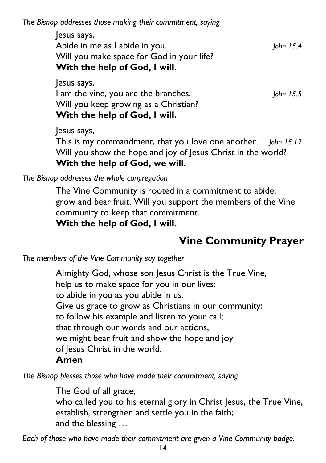*The Bishop addresses those making their commitment, saying*

Jesus says, Abide in me as I abide in you. *John 15.4* Will you make space for God in your life? **With the help of God, I will.**

Jesus says, I am the vine, you are the branches. *John 15.5* Will you keep growing as a Christian? **With the help of God, I will.**

Jesus says,

This is my commandment, that you love one another. *John 15.12* Will you show the hope and joy of lesus Christ in the world? **With the help of God, we will.**

*The Bishop addresses the whole congregation*

The Vine Community is rooted in a commitment to abide, grow and bear fruit. Will you support the members of the Vine community to keep that commitment. **With the help of God, I will.**

## **Vine Community Prayer**

*The members of the Vine Community say together*

Almighty God, whose son Jesus Christ is the True Vine, help us to make space for you in our lives: to abide in you as you abide in us. Give us grace to grow as Christians in our community: to follow his example and listen to your call; that through our words and our actions, we might bear fruit and show the hope and joy of Jesus Christ in the world. **Amen**

*The Bishop blesses those who have made their commitment, saying*

The God of all grace, who called you to his eternal glory in Christ Jesus, the True Vine, establish, strengthen and settle you in the faith; and the blessing …

*Each of those who have made their commitment are given a Vine Community badge.*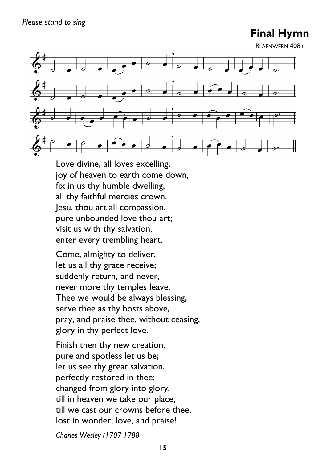## **Final Hymn**

BLAENWERN 408 i



Love divine, all loves excelling, joy of heaven to earth come down, fix in us thy humble dwelling, all thy faithful mercies crown. Jesu, thou art all compassion, pure unbounded love thou art; visit us with thy salvation, enter every trembling heart.

Come, almighty to deliver, let us all thy grace receive; suddenly return, and never, never more thy temples leave. Thee we would be always blessing, serve thee as thy hosts above, pray, and praise thee, without ceasing, glory in thy perfect love.

Finish then thy new creation, pure and spotless let us be; let us see thy great salvation, perfectly restored in thee; changed from glory into glory, till in heaven we take our place, till we cast our crowns before thee, lost in wonder, love, and praise!

*Charles Wesley (1707-1788*